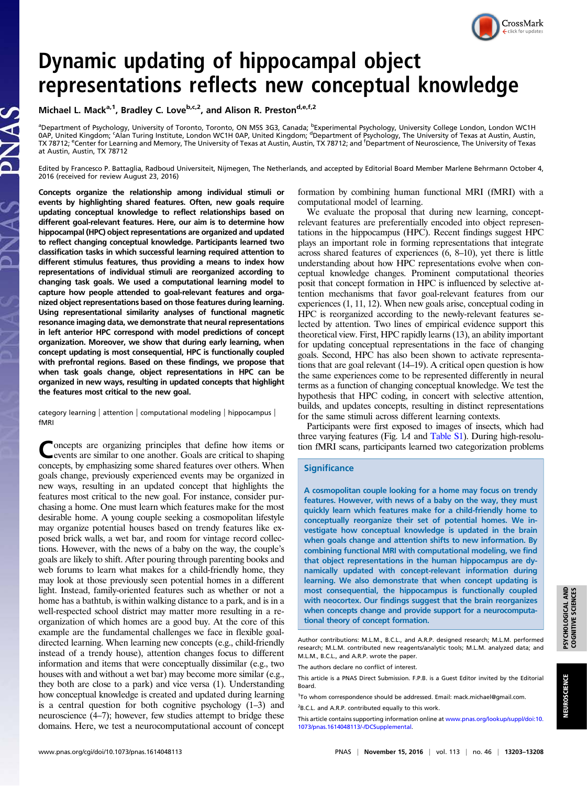

# Dynamic updating of hippocampal object representations reflects new conceptual knowledge

Michael L. Mack<sup>a,1</sup>, Bradley C. Love<sup>b,c,2</sup>, and Alison R. Preston<sup>d,e,f,2</sup>

<sup>a</sup>Department of Psychology, University of Toronto, Toronto, ON M55 3G3, Canada; <sup>b</sup>Experimental Psychology, University College London, London WC1H<br>0AP, United Kingdom; ʿAlan Turing Institute, London WC1H 0AP, United Kingd TX 78712; <sup>e</sup>Center for Learning and Memory, The University of Texas at Austin, Austin, TX 78712; and <sup>f</sup>Department of Neuroscience, The University of Texas at Austin, Austin, TX 78712

Edited by Francesco P. Battaglia, Radboud Universiteit, Nijmegen, The Netherlands, and accepted by Editorial Board Member Marlene Behrmann October 4, 2016 (received for review August 23, 2016)

Concepts organize the relationship among individual stimuli or events by highlighting shared features. Often, new goals require updating conceptual knowledge to reflect relationships based on different goal-relevant features. Here, our aim is to determine how hippocampal (HPC) object representations are organized and updated to reflect changing conceptual knowledge. Participants learned two classification tasks in which successful learning required attention to different stimulus features, thus providing a means to index how representations of individual stimuli are reorganized according to changing task goals. We used a computational learning model to capture how people attended to goal-relevant features and organized object representations based on those features during learning. Using representational similarity analyses of functional magnetic resonance imaging data, we demonstrate that neural representations in left anterior HPC correspond with model predictions of concept organization. Moreover, we show that during early learning, when concept updating is most consequential, HPC is functionally coupled with prefrontal regions. Based on these findings, we propose that when task goals change, object representations in HPC can be organized in new ways, resulting in updated concepts that highlight the features most critical to the new goal.

category learning | attention | computational modeling | hippocampus | fMRI

Concepts are organizing principles that define how items or events are similar to one another. Goals are critical to shaping concepts, by emphasizing some shared features over others. When goals change, previously experienced events may be organized in new ways, resulting in an updated concept that highlights the features most critical to the new goal. For instance, consider purchasing a home. One must learn which features make for the most desirable home. A young couple seeking a cosmopolitan lifestyle may organize potential houses based on trendy features like exposed brick walls, a wet bar, and room for vintage record collections. However, with the news of a baby on the way, the couple's goals are likely to shift. After pouring through parenting books and web forums to learn what makes for a child-friendly home, they may look at those previously seen potential homes in a different light. Instead, family-oriented features such as whether or not a home has a bathtub, is within walking distance to a park, and is in a well-respected school district may matter more resulting in a reorganization of which homes are a good buy. At the core of this example are the fundamental challenges we face in flexible goaldirected learning. When learning new concepts (e.g., child-friendly instead of a trendy house), attention changes focus to different information and items that were conceptually dissimilar (e.g., two houses with and without a wet bar) may become more similar (e.g., they both are close to a park) and vice versa (1). Understanding how conceptual knowledge is created and updated during learning is a central question for both cognitive psychology (1–3) and neuroscience (4–7); however, few studies attempt to bridge these domains. Here, we test a neurocomputational account of concept

formation by combining human functional MRI (fMRI) with a computational model of learning.

We evaluate the proposal that during new learning, conceptrelevant features are preferentially encoded into object representations in the hippocampus (HPC). Recent findings suggest HPC plays an important role in forming representations that integrate across shared features of experiences (6, 8–10), yet there is little understanding about how HPC representations evolve when conceptual knowledge changes. Prominent computational theories posit that concept formation in HPC is influenced by selective attention mechanisms that favor goal-relevant features from our experiences (1, 11, 12). When new goals arise, conceptual coding in HPC is reorganized according to the newly-relevant features selected by attention. Two lines of empirical evidence support this theoretical view. First, HPC rapidly learns (13), an ability important for updating conceptual representations in the face of changing goals. Second, HPC has also been shown to activate representations that are goal relevant (14–19). A critical open question is how the same experiences come to be represented differently in neural terms as a function of changing conceptual knowledge. We test the hypothesis that HPC coding, in concert with selective attention, builds, and updates concepts, resulting in distinct representations for the same stimuli across different learning contexts.

Participants were first exposed to images of insects, which had three varying features (Fig. 1A and [Table S1\)](http://www.pnas.org/lookup/suppl/doi:10.1073/pnas.1614048113/-/DCSupplemental/pnas.201614048SI.pdf?targetid=nameddest=ST1). During high-resolution fMRI scans, participants learned two categorization problems

## **Significance**

A cosmopolitan couple looking for a home may focus on trendy features. However, with news of a baby on the way, they must quickly learn which features make for a child-friendly home to conceptually reorganize their set of potential homes. We investigate how conceptual knowledge is updated in the brain when goals change and attention shifts to new information. By combining functional MRI with computational modeling, we find that object representations in the human hippocampus are dynamically updated with concept-relevant information during learning. We also demonstrate that when concept updating is most consequential, the hippocampus is functionally coupled with neocortex. Our findings suggest that the brain reorganizes when concepts change and provide support for a neurocomputational theory of concept formation.

Author contributions: M.L.M., B.C.L., and A.R.P. designed research; M.L.M. performed research; M.L.M. contributed new reagents/analytic tools; M.L.M. analyzed data; and M.L.M., B.C.L., and A.R.P. wrote the paper.

The authors declare no conflict of interest.

This article is a PNAS Direct Submission. F.P.B. is a Guest Editor invited by the Editorial Board.

<sup>1</sup>To whom correspondence should be addressed. Email: [mack.michael@gmail.com.](mailto:mack.michael@gmail.com) <sup>2</sup>B.C.L. and A.R.P. contributed equally to this work.

This article contains supporting information online at [www.pnas.org/lookup/suppl/doi:10.](http://www.pnas.org/lookup/suppl/doi:10.1073/pnas.1614048113/-/DCSupplemental) [1073/pnas.1614048113/-/DCSupplemental](http://www.pnas.org/lookup/suppl/doi:10.1073/pnas.1614048113/-/DCSupplemental).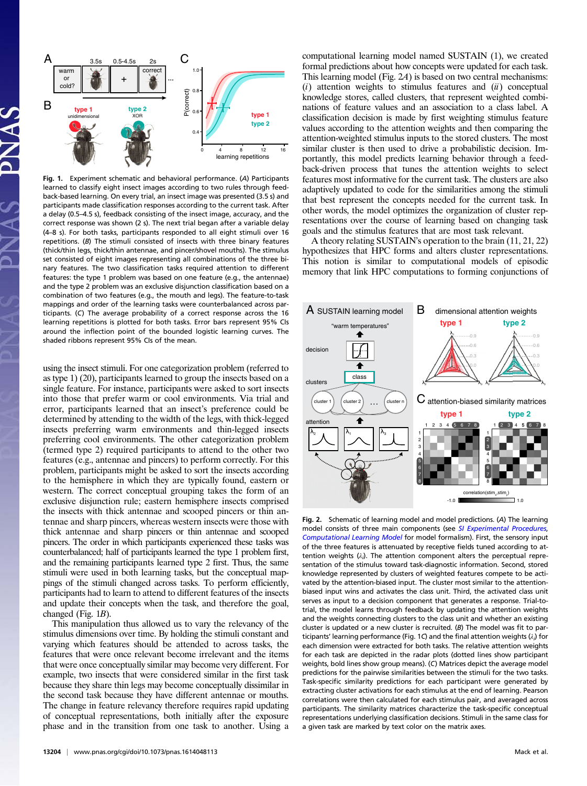

Fig. 1. Experiment schematic and behavioral performance. (A) Participants learned to classify eight insect images according to two rules through feedback-based learning. On every trial, an insect image was presented (3.5 s) and participants made classification responses according to the current task. After a delay (0.5–4.5 s), feedback consisting of the insect image, accuracy, and the correct response was shown (2 s). The next trial began after a variable delay (4–8 s). For both tasks, participants responded to all eight stimuli over 16 repetitions. (B) The stimuli consisted of insects with three binary features (thick/thin legs, thick/thin antennae, and pincer/shovel mouths). The stimulus set consisted of eight images representing all combinations of the three binary features. The two classification tasks required attention to different features: the type 1 problem was based on one feature (e.g., the antennae) and the type 2 problem was an exclusive disjunction classification based on a combination of two features (e.g., the mouth and legs). The feature-to-task mappings and order of the learning tasks were counterbalanced across participants. (C) The average probability of a correct response across the 16 learning repetitions is plotted for both tasks. Error bars represent 95% CIs around the inflection point of the bounded logistic learning curves. The shaded ribbons represent 95% CIs of the mean.

using the insect stimuli. For one categorization problem (referred to as type 1) (20), participants learned to group the insects based on a single feature. For instance, participants were asked to sort insects into those that prefer warm or cool environments. Via trial and error, participants learned that an insect's preference could be determined by attending to the width of the legs, with thick-legged insects preferring warm environments and thin-legged insects preferring cool environments. The other categorization problem (termed type 2) required participants to attend to the other two features (e.g., antennae and pincers) to perform correctly. For this problem, participants might be asked to sort the insects according to the hemisphere in which they are typically found, eastern or western. The correct conceptual grouping takes the form of an exclusive disjunction rule; eastern hemisphere insects comprised the insects with thick antennae and scooped pincers or thin antennae and sharp pincers, whereas western insects were those with thick antennae and sharp pincers or thin antennae and scooped pincers. The order in which participants experienced these tasks was counterbalanced; half of participants learned the type 1 problem first, and the remaining participants learned type 2 first. Thus, the same stimuli were used in both learning tasks, but the conceptual mappings of the stimuli changed across tasks. To perform efficiently, participants had to learn to attend to different features of the insects and update their concepts when the task, and therefore the goal, changed (Fig. 1B).

This manipulation thus allowed us to vary the relevancy of the stimulus dimensions over time. By holding the stimuli constant and varying which features should be attended to across tasks, the features that were once relevant become irrelevant and the items that were once conceptually similar may become very different. For example, two insects that were considered similar in the first task because they share thin legs may become conceptually dissimilar in the second task because they have different antennae or mouths. The change in feature relevancy therefore requires rapid updating of conceptual representations, both initially after the exposure phase and in the transition from one task to another. Using a computational learning model named SUSTAIN (1), we created formal predictions about how concepts were updated for each task. This learning model (Fig. 2A) is based on two central mechanisms:  $(i)$  attention weights to stimulus features and  $(ii)$  conceptual knowledge stores, called clusters, that represent weighted combinations of feature values and an association to a class label. A classification decision is made by first weighting stimulus feature values according to the attention weights and then comparing the attention-weighted stimulus inputs to the stored clusters. The most similar cluster is then used to drive a probabilistic decision. Importantly, this model predicts learning behavior through a feedback-driven process that tunes the attention weights to select features most informative for the current task. The clusters are also adaptively updated to code for the similarities among the stimuli that best represent the concepts needed for the current task. In other words, the model optimizes the organization of cluster representations over the course of learning based on changing task goals and the stimulus features that are most task relevant.

A theory relating SUSTAIN's operation to the brain (11, 21, 22) hypothesizes that HPC forms and alters cluster representations. This notion is similar to computational models of episodic memory that link HPC computations to forming conjunctions of



Fig. 2. Schematic of learning model and model predictions. (A) The learning model consists of three main components (see [SI Experimental Procedures](http://www.pnas.org/lookup/suppl/doi:10.1073/pnas.1614048113/-/DCSupplemental/pnas.201614048SI.pdf?targetid=nameddest=STXT), [Computational Learning Model](http://www.pnas.org/lookup/suppl/doi:10.1073/pnas.1614048113/-/DCSupplemental/pnas.201614048SI.pdf?targetid=nameddest=STXT) for model formalism). First, the sensory input of the three features is attenuated by receptive fields tuned according to attention weights  $(\lambda_i)$ . The attention component alters the perceptual representation of the stimulus toward task-diagnostic information. Second, stored knowledge represented by clusters of weighted features compete to be activated by the attention-biased input. The cluster most similar to the attentionbiased input wins and activates the class unit. Third, the activated class unit serves as input to a decision component that generates a response. Trial-totrial, the model learns through feedback by updating the attention weights and the weights connecting clusters to the class unit and whether an existing cluster is updated or a new cluster is recruited. (B) The model was fit to participants' learning performance (Fig. 1C) and the final attention weights  $(\lambda_i)$  for each dimension were extracted for both tasks. The relative attention weights for each task are depicted in the radar plots (dotted lines show participant weights, bold lines show group means). (C) Matrices depict the average model predictions for the pairwise similarities between the stimuli for the two tasks. Task-specific similarity predictions for each participant were generated by extracting cluster activations for each stimulus at the end of learning. Pearson correlations were then calculated for each stimulus pair, and averaged across participants. The similarity matrices characterize the task-specific conceptual representations underlying classification decisions. Stimuli in the same class for a given task are marked by text color on the matrix axes.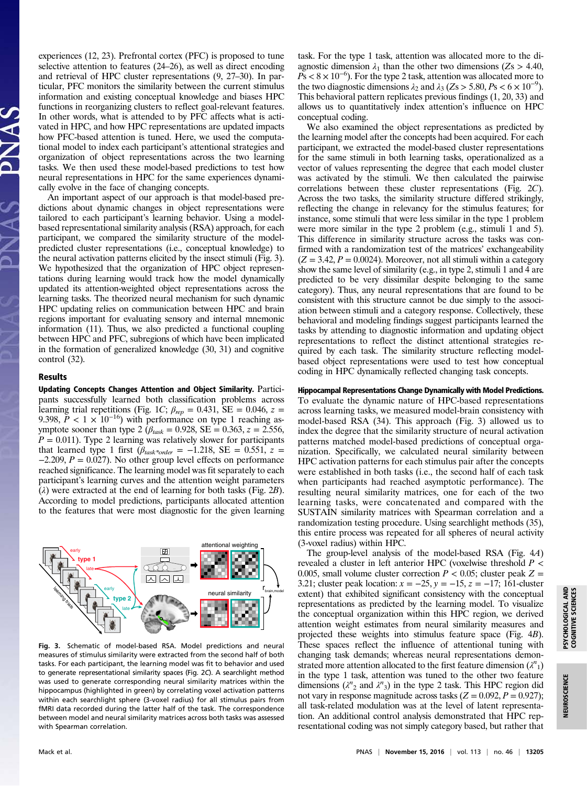experiences (12, 23). Prefrontal cortex (PFC) is proposed to tune selective attention to features (24–26), as well as direct encoding and retrieval of HPC cluster representations (9, 27–30). In particular, PFC monitors the similarity between the current stimulus information and existing conceptual knowledge and biases HPC functions in reorganizing clusters to reflect goal-relevant features. In other words, what is attended to by PFC affects what is activated in HPC, and how HPC representations are updated impacts how PFC-based attention is tuned. Here, we used the computational model to index each participant's attentional strategies and organization of object representations across the two learning tasks. We then used these model-based predictions to test how neural representations in HPC for the same experiences dynamically evolve in the face of changing concepts.

An important aspect of our approach is that model-based predictions about dynamic changes in object representations were tailored to each participant's learning behavior. Using a modelbased representational similarity analysis (RSA) approach, for each participant, we compared the similarity structure of the modelpredicted cluster representations (i.e., conceptual knowledge) to the neural activation patterns elicited by the insect stimuli (Fig. 3). We hypothesized that the organization of HPC object representations during learning would track how the model dynamically updated its attention-weighted object representations across the learning tasks. The theorized neural mechanism for such dynamic HPC updating relies on communication between HPC and brain regions important for evaluating sensory and internal mnemonic information (11). Thus, we also predicted a functional coupling between HPC and PFC, subregions of which have been implicated in the formation of generalized knowledge (30, 31) and cognitive control (32).

#### Results

Updating Concepts Changes Attention and Object Similarity. Participants successfully learned both classification problems across learning trial repetitions (Fig. 1C;  $\beta_{rep} = 0.431$ , SE = 0.046, z = 9.398,  $\overline{P}$  < 1 × 10<sup>-16</sup>) with performance on type 1 reaching asymptote sooner than type 2 ( $\beta_{task} = 0.928$ , SE = 0.363, z = 2.556,  $P = 0.011$ . Type 2 learning was relatively slower for participants that learned type 1 first ( $\beta_{task*order} = -1.218$ , SE = 0.551, z =  $-2.209$ ,  $P = 0.027$ ). No other group level effects on performance reached significance. The learning model was fit separately to each participant's learning curves and the attention weight parameters  $(\lambda)$  were extracted at the end of learning for both tasks (Fig. 2B). According to model predictions, participants allocated attention to the features that were most diagnostic for the given learning



Fig. 3. Schematic of model-based RSA. Model predictions and neural measures of stimulus similarity were extracted from the second half of both tasks. For each participant, the learning model was fit to behavior and used to generate representational similarity spaces (Fig. 2C). A searchlight method was used to generate corresponding neural similarity matrices within the hippocampus (highlighted in green) by correlating voxel activation patterns within each searchlight sphere (3-voxel radius) for all stimulus pairs from fMRI data recorded during the latter half of the task. The correspondence between model and neural similarity matrices across both tasks was assessed with Spearman correlation.

task. For the type 1 task, attention was allocated more to the diagnostic dimension  $\lambda_1$  than the other two dimensions (Zs > 4.40,  $\overline{Ps}$  < 8 × 10<sup>-6</sup>). For the type 2 task, attention was allocated more to the two diagnostic dimensions  $\lambda_2$  and  $\lambda_3$  (Zs > 5.80, Ps < 6 × 10<sup>-9</sup>). This behavioral pattern replicates previous findings (1, 20, 33) and allows us to quantitatively index attention's influence on HPC conceptual coding.

We also examined the object representations as predicted by the learning model after the concepts had been acquired. For each participant, we extracted the model-based cluster representations for the same stimuli in both learning tasks, operationalized as a vector of values representing the degree that each model cluster was activated by the stimuli. We then calculated the pairwise correlations between these cluster representations (Fig. 2C). Across the two tasks, the similarity structure differed strikingly, reflecting the change in relevancy for the stimulus features; for instance, some stimuli that were less similar in the type 1 problem were more similar in the type 2 problem (e.g., stimuli 1 and 5). This difference in similarity structure across the tasks was confirmed with a randomization test of the matrices' exchangeability  $(Z = 3.42, P = 0.0024)$ . Moreover, not all stimuli within a category show the same level of similarity (e.g., in type 2, stimuli 1 and 4 are predicted to be very dissimilar despite belonging to the same category). Thus, any neural representations that are found to be consistent with this structure cannot be due simply to the association between stimuli and a category response. Collectively, these behavioral and modeling findings suggest participants learned the tasks by attending to diagnostic information and updating object representations to reflect the distinct attentional strategies required by each task. The similarity structure reflecting modelbased object representations were used to test how conceptual coding in HPC dynamically reflected changing task concepts.

## Hippocampal Representations Change Dynamically with Model Predictions. To evaluate the dynamic nature of HPC-based representations across learning tasks, we measured model-brain consistency with model-based RSA (34). This approach (Fig. 3) allowed us to index the degree that the similarity structure of neural activation patterns matched model-based predictions of conceptual organization. Specifically, we calculated neural similarity between HPC activation patterns for each stimulus pair after the concepts were established in both tasks (i.e., the second half of each task when participants had reached asymptotic performance). The resulting neural similarity matrices, one for each of the two learning tasks, were concatenated and compared with the SUSTAIN similarity matrices with Spearman correlation and a randomization testing procedure. Using searchlight methods (35), this entire process was repeated for all spheres of neural activity (3-voxel radius) within HPC.

The group-level analysis of the model-based RSA (Fig. 4A) revealed a cluster in left anterior HPC (voxelwise threshold  $P \leq$ 0.005, small volume cluster correction  $P < 0.05$ ; cluster peak  $Z =$ 3.21; cluster peak location:  $x = -25$ ,  $y = -15$ ,  $z = -17$ ; 161-cluster extent) that exhibited significant consistency with the conceptual representations as predicted by the learning model. To visualize the conceptual organization within this HPC region, we derived attention weight estimates from neural similarity measures and projected these weights into stimulus feature space (Fig. 4B). These spaces reflect the influence of attentional tuning with changing task demands; whereas neural representations demonstrated more attention allocated to the first feature dimension  $(\lambda^n_1)$ in the type 1 task, attention was tuned to the other two feature dimensions  $(\lambda^n_2$  and  $\lambda^n_3)$  in the type 2 task. This HPC region did not vary in response magnitude across tasks  $(Z = 0.092, P = 0.927)$ ; all task-related modulation was at the level of latent representation. An additional control analysis demonstrated that HPC representational coding was not simply category based, but rather that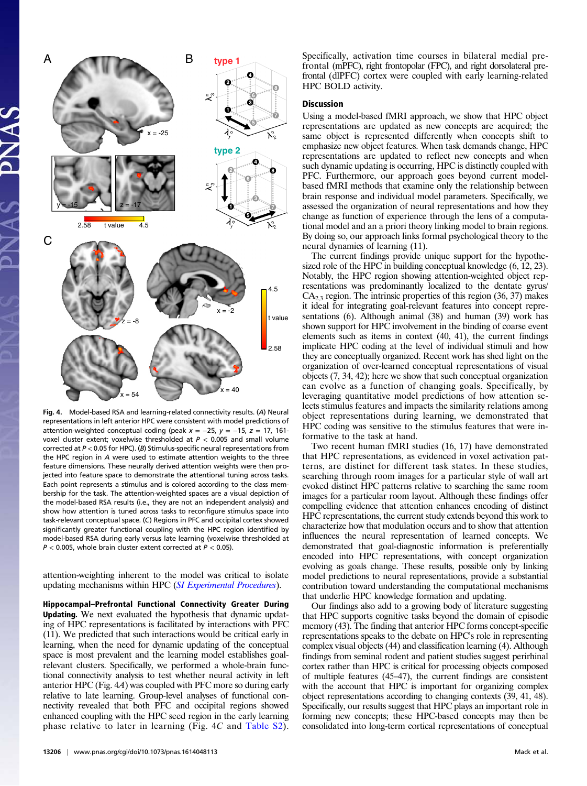

Fig. 4. Model-based RSA and learning-related connectivity results. (A) Neural representations in left anterior HPC were consistent with model predictions of attention-weighted conceptual coding (peak  $x = -25$ ,  $y = -15$ ,  $z = 17$ , 161voxel cluster extent; voxelwise thresholded at  $P < 0.005$  and small volume corrected at  $P < 0.05$  for HPC). (B) Stimulus-specific neural representations from the HPC region in A were used to estimate attention weights to the three feature dimensions. These neurally derived attention weights were then projected into feature space to demonstrate the attentional tuning across tasks. Each point represents a stimulus and is colored according to the class membership for the task. The attention-weighted spaces are a visual depiction of the model-based RSA results (i.e., they are not an independent analysis) and show how attention is tuned across tasks to reconfigure stimulus space into task-relevant conceptual space. (C) Regions in PFC and occipital cortex showed significantly greater functional coupling with the HPC region identified by model-based RSA during early versus late learning (voxelwise thresholded at  $P < 0.005$ , whole brain cluster extent corrected at  $P < 0.05$ ).

attention-weighting inherent to the model was critical to isolate updating mechanisms within HPC ([SI Experimental Procedures](http://www.pnas.org/lookup/suppl/doi:10.1073/pnas.1614048113/-/DCSupplemental/pnas.201614048SI.pdf?targetid=nameddest=STXT)).

Hippocampal–Prefrontal Functional Connectivity Greater During Updating. We next evaluated the hypothesis that dynamic updating of HPC representations is facilitated by interactions with PFC (11). We predicted that such interactions would be critical early in learning, when the need for dynamic updating of the conceptual space is most prevalent and the learning model establishes goalrelevant clusters. Specifically, we performed a whole-brain functional connectivity analysis to test whether neural activity in left anterior HPC (Fig. 4A) was coupled with PFC more so during early relative to late learning. Group-level analyses of functional connectivity revealed that both PFC and occipital regions showed enhanced coupling with the HPC seed region in the early learning phase relative to later in learning (Fig. 4C and [Table S2\)](http://www.pnas.org/lookup/suppl/doi:10.1073/pnas.1614048113/-/DCSupplemental/pnas.201614048SI.pdf?targetid=nameddest=ST2).

Specifically, activation time courses in bilateral medial prefrontal (mPFC), right frontopolar (FPC), and right dorsolateral prefrontal (dlPFC) cortex were coupled with early learning-related HPC BOLD activity.

#### **Discussion**

Using a model-based fMRI approach, we show that HPC object representations are updated as new concepts are acquired; the same object is represented differently when concepts shift to emphasize new object features. When task demands change, HPC representations are updated to reflect new concepts and when such dynamic updating is occurring, HPC is distinctly coupled with PFC. Furthermore, our approach goes beyond current modelbased fMRI methods that examine only the relationship between brain response and individual model parameters. Specifically, we assessed the organization of neural representations and how they change as function of experience through the lens of a computational model and an a priori theory linking model to brain regions. By doing so, our approach links formal psychological theory to the neural dynamics of learning (11).

The current findings provide unique support for the hypothesized role of the HPC in building conceptual knowledge (6, 12, 23). Notably, the HPC region showing attention-weighted object representations was predominantly localized to the dentate gyrus/  $CA_{2,3}$  region. The intrinsic properties of this region (36, 37) makes it ideal for integrating goal-relevant features into concept representations (6). Although animal (38) and human (39) work has shown support for HPC involvement in the binding of coarse event elements such as items in context (40, 41), the current findings implicate HPC coding at the level of individual stimuli and how they are conceptually organized. Recent work has shed light on the organization of over-learned conceptual representations of visual objects (7, 34, 42); here we show that such conceptual organization can evolve as a function of changing goals. Specifically, by leveraging quantitative model predictions of how attention selects stimulus features and impacts the similarity relations among object representations during learning, we demonstrated that HPC coding was sensitive to the stimulus features that were informative to the task at hand.

Two recent human fMRI studies (16, 17) have demonstrated that HPC representations, as evidenced in voxel activation patterns, are distinct for different task states. In these studies, searching through room images for a particular style of wall art evoked distinct HPC patterns relative to searching the same room images for a particular room layout. Although these findings offer compelling evidence that attention enhances encoding of distinct HPC representations, the current study extends beyond this work to characterize how that modulation occurs and to show that attention influences the neural representation of learned concepts. We demonstrated that goal-diagnostic information is preferentially encoded into HPC representations, with concept organization evolving as goals change. These results, possible only by linking model predictions to neural representations, provide a substantial contribution toward understanding the computational mechanisms that underlie HPC knowledge formation and updating.

Our findings also add to a growing body of literature suggesting that HPC supports cognitive tasks beyond the domain of episodic memory (43). The finding that anterior HPC forms concept-specific representations speaks to the debate on HPC's role in representing complex visual objects (44) and classification learning (4). Although findings from seminal rodent and patient studies suggest perirhinal cortex rather than HPC is critical for processing objects composed of multiple features (45–47), the current findings are consistent with the account that HPC is important for organizing complex object representations according to changing contexts (39, 41, 48). Specifically, our results suggest that HPC plays an important role in forming new concepts; these HPC-based concepts may then be consolidated into long-term cortical representations of conceptual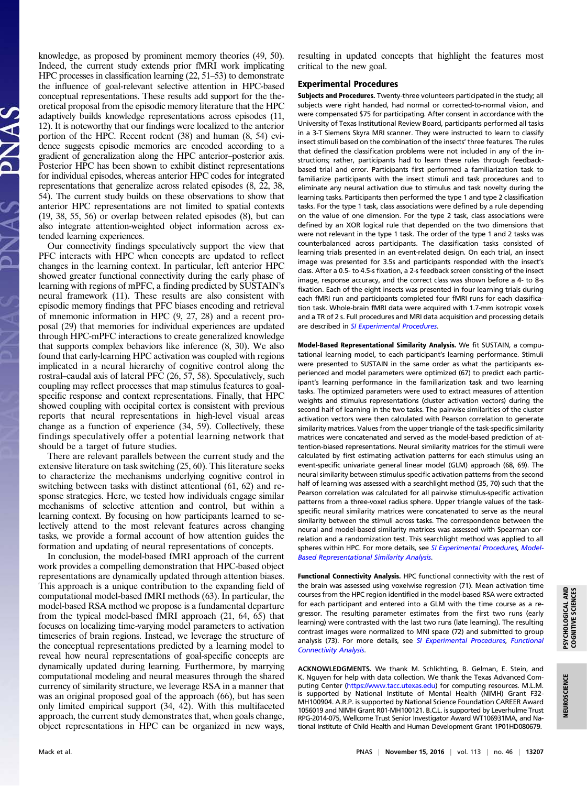knowledge, as proposed by prominent memory theories (49, 50). Indeed, the current study extends prior fMRI work implicating HPC processes in classification learning (22, 51–53) to demonstrate the influence of goal-relevant selective attention in HPC-based conceptual representations. These results add support for the theoretical proposal from the episodic memory literature that the HPC adaptively builds knowledge representations across episodes (11, 12). It is noteworthy that our findings were localized to the anterior portion of the HPC. Recent rodent (38) and human (8, 54) evidence suggests episodic memories are encoded according to a gradient of generalization along the HPC anterior–posterior axis. Posterior HPC has been shown to exhibit distinct representations for individual episodes, whereas anterior HPC codes for integrated representations that generalize across related episodes (8, 22, 38, 54). The current study builds on these observations to show that anterior HPC representations are not limited to spatial contexts (19, 38, 55, 56) or overlap between related episodes (8), but can also integrate attention-weighted object information across extended learning experiences.

Our connectivity findings speculatively support the view that PFC interacts with HPC when concepts are updated to reflect changes in the learning context. In particular, left anterior HPC showed greater functional connectivity during the early phase of learning with regions of mPFC, a finding predicted by SUSTAIN's neural framework (11). These results are also consistent with episodic memory findings that PFC biases encoding and retrieval of mnemonic information in HPC (9, 27, 28) and a recent proposal (29) that memories for individual experiences are updated through HPC-mPFC interactions to create generalized knowledge that supports complex behaviors like inference (8, 30). We also found that early-learning HPC activation was coupled with regions implicated in a neural hierarchy of cognitive control along the rostral–caudal axis of lateral PFC (26, 57, 58). Speculatively, such coupling may reflect processes that map stimulus features to goalspecific response and context representations. Finally, that HPC showed coupling with occipital cortex is consistent with previous reports that neural representations in high-level visual areas change as a function of experience (34, 59). Collectively, these findings speculatively offer a potential learning network that should be a target of future studies.

There are relevant parallels between the current study and the extensive literature on task switching (25, 60). This literature seeks to characterize the mechanisms underlying cognitive control in switching between tasks with distinct attentional (61, 62) and response strategies. Here, we tested how individuals engage similar mechanisms of selective attention and control, but within a learning context. By focusing on how participants learned to selectively attend to the most relevant features across changing tasks, we provide a formal account of how attention guides the formation and updating of neural representations of concepts.

In conclusion, the model-based fMRI approach of the current work provides a compelling demonstration that HPC-based object representations are dynamically updated through attention biases. This approach is a unique contribution to the expanding field of computational model-based fMRI methods (63). In particular, the model-based RSA method we propose is a fundamental departure from the typical model-based fMRI approach (21, 64, 65) that focuses on localizing time-varying model parameters to activation timeseries of brain regions. Instead, we leverage the structure of the conceptual representations predicted by a learning model to reveal how neural representations of goal-specific concepts are dynamically updated during learning. Furthermore, by marrying computational modeling and neural measures through the shared currency of similarity structure, we leverage RSA in a manner that was an original proposed goal of the approach (66), but has seen only limited empirical support (34, 42). With this multifaceted approach, the current study demonstrates that, when goals change, object representations in HPC can be organized in new ways, resulting in updated concepts that highlight the features most critical to the new goal.

## Experimental Procedures

Subjects and Procedures. Twenty-three volunteers participated in the study; all subjects were right handed, had normal or corrected-to-normal vision, and were compensated \$75 for participating. After consent in accordance with the University of Texas Institutional Review Board, participants performed all tasks in a 3-T Siemens Skyra MRI scanner. They were instructed to learn to classify insect stimuli based on the combination of the insects' three features. The rules that defined the classification problems were not included in any of the instructions; rather, participants had to learn these rules through feedbackbased trial and error. Participants first performed a familiarization task to familiarize participants with the insect stimuli and task procedures and to eliminate any neural activation due to stimulus and task novelty during the learning tasks. Participants then performed the type 1 and type 2 classification tasks. For the type 1 task, class associations were defined by a rule depending on the value of one dimension. For the type 2 task, class associations were defined by an XOR logical rule that depended on the two dimensions that were not relevant in the type 1 task. The order of the type 1 and 2 tasks was counterbalanced across participants. The classification tasks consisted of learning trials presented in an event-related design. On each trial, an insect image was presented for 3.5s and participants responded with the insect's class. After a 0.5- to 4.5-s fixation, a 2-s feedback screen consisting of the insect image, response accuracy, and the correct class was shown before a 4- to 8-s fixation. Each of the eight insects was presented in four learning trials during each fMRI run and participants completed four fMRI runs for each classification task. Whole-brain fMRI data were acquired with 1.7-mm isotropic voxels and a TR of 2 s. Full procedures and MRI data acquisition and processing details are described in [SI Experimental Procedures](http://www.pnas.org/lookup/suppl/doi:10.1073/pnas.1614048113/-/DCSupplemental/pnas.201614048SI.pdf?targetid=nameddest=STXT).

Model-Based Representational Similarity Analysis. We fit SUSTAIN, a computational learning model, to each participant's learning performance. Stimuli were presented to SUSTAIN in the same order as what the participants experienced and model parameters were optimized (67) to predict each participant's learning performance in the familiarization task and two learning tasks. The optimized parameters were used to extract measures of attention weights and stimulus representations (cluster activation vectors) during the second half of learning in the two tasks. The pairwise similarities of the cluster activation vectors were then calculated with Pearson correlation to generate similarity matrices. Values from the upper triangle of the task-specific similarity matrices were concatenated and served as the model-based prediction of attention-biased representations. Neural similarity matrices for the stimuli were calculated by first estimating activation patterns for each stimulus using an event-specific univariate general linear model (GLM) approach (68, 69). The neural similarity between stimulus-specific activation patterns from the second half of learning was assessed with a searchlight method (35, 70) such that the Pearson correlation was calculated for all pairwise stimulus-specific activation patterns from a three-voxel radius sphere. Upper triangle values of the taskspecific neural similarity matrices were concatenated to serve as the neural similarity between the stimuli across tasks. The correspondence between the neural and model-based similarity matrices was assessed with Spearman correlation and a randomization test. This searchlight method was applied to all spheres within HPC. For more details, see [SI Experimental Procedures](http://www.pnas.org/lookup/suppl/doi:10.1073/pnas.1614048113/-/DCSupplemental/pnas.201614048SI.pdf?targetid=nameddest=STXT), [Model-](http://www.pnas.org/lookup/suppl/doi:10.1073/pnas.1614048113/-/DCSupplemental/pnas.201614048SI.pdf?targetid=nameddest=STXT)[Based Representational Similarity Analysis](http://www.pnas.org/lookup/suppl/doi:10.1073/pnas.1614048113/-/DCSupplemental/pnas.201614048SI.pdf?targetid=nameddest=STXT).

Functional Connectivity Analysis. HPC functional connectivity with the rest of the brain was assessed using voxelwise regression (71). Mean activation time courses from the HPC region identified in the model-based RSA were extracted for each participant and entered into a GLM with the time course as a regressor. The resulting parameter estimates from the first two runs (early learning) were contrasted with the last two runs (late learning). The resulting contrast images were normalized to MNI space (72) and submitted to group analysis (73). For more details, see [SI Experimental Procedures](http://www.pnas.org/lookup/suppl/doi:10.1073/pnas.1614048113/-/DCSupplemental/pnas.201614048SI.pdf?targetid=nameddest=STXT), [Functional](http://www.pnas.org/lookup/suppl/doi:10.1073/pnas.1614048113/-/DCSupplemental/pnas.201614048SI.pdf?targetid=nameddest=STXT) [Connectivity Analysis](http://www.pnas.org/lookup/suppl/doi:10.1073/pnas.1614048113/-/DCSupplemental/pnas.201614048SI.pdf?targetid=nameddest=STXT).

ACKNOWLEDGMENTS. We thank M. Schlichting, B. Gelman, E. Stein, and K. Nguyen for help with data collection. We thank the Texas Advanced Computing Center ([https://www.tacc.utexas.edu\)](https://www.tacc.utexas.edu) for computing resources. M.L.M. is supported by National Institute of Mental Health (NIMH) Grant F32- MH100904. A.R.P. is supported by National Science Foundation CAREER Award 1056019 and NIMH Grant R01-MH100121. B.C.L. is supported by Leverhulme Trust RPG-2014-075, Wellcome Trust Senior Investigator Award WT106931MA, and National Institute of Child Health and Human Development Grant 1P01HD080679.

**NEUROSCIENCE**